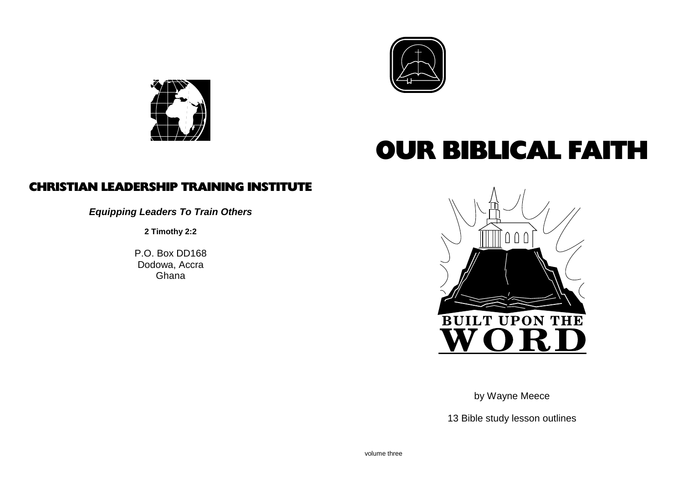



## OUR BIBLICAL FAITH

### CHRISTIAN LEADERSHIP TRAINING INSTITUTE

**Equipping Leaders To Train Others**

**2 Timothy 2:2**

P.O. Box DD168 Dodowa, AccraGhana



by Wayne Meece

13 Bible study lesson outlines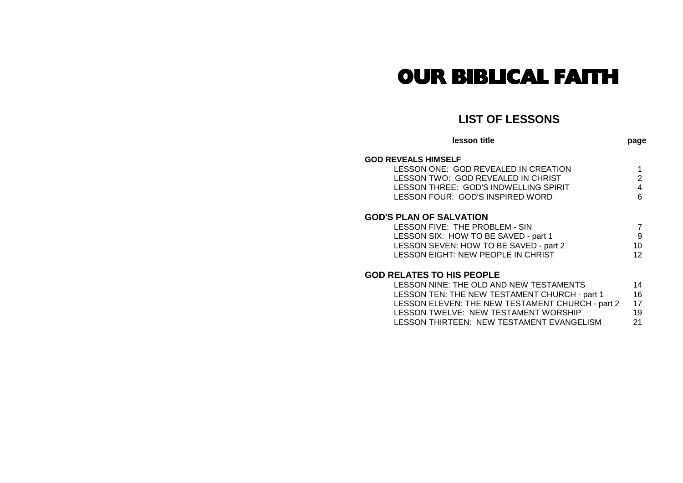### OUR BIBLICAL FAITH

#### **LIST OF LESSONS**

| lesson title                           | page |
|----------------------------------------|------|
| <b>GOD REVEALS HIMSELF</b>             |      |
| LESSON ONE: GOD REVEALED IN CREATION   |      |
| LESSON TWO: GOD REVEALED IN CHRIST     | 2    |
| LESSON THREE: GOD'S INDWELLING SPIRIT  |      |
| LESSON FOUR: GOD'S INSPIRED WORD       | ี    |
| <b>GOD'S PLAN OF SALVATION</b>         |      |
| LESSON FIVE: THE PROBLEM - SIN         |      |
| LESSON SIX: HOW TO BE SAVED - part 1   | 9    |
| LESSON SEVEN: HOW TO BE SAVED - part 2 | 10   |
| LESSON EIGHT: NEW PEOPLE IN CHRIST     | 12   |

#### **GOD RELATES TO HIS PEOPLE**

| 14                                               |
|--------------------------------------------------|
| 16                                               |
| 17                                               |
| 19                                               |
| 21                                               |
| LESSON ELEVEN: THE NEW TESTAMENT CHURCH - part 2 |